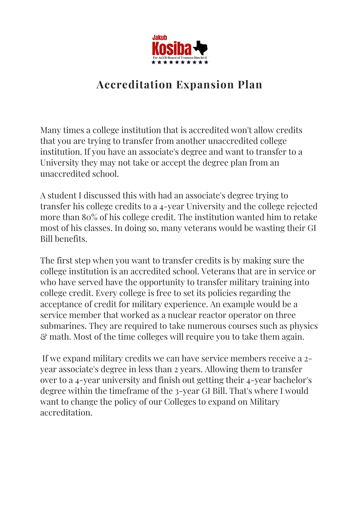

## **Accreditation Expansion Plan**

Many times a college institution that is accredited won't allow credits that you are trying to transfer from another unaccredited college institution. If you have an associate's degree and want to transfer to a University they may not take or accept the degree plan from an unaccredited school.

A student I discussed this with had an associate's degree trying to transfer his college credits to a 4-year University and the college rejected more than 80% of his college credit. The institution wanted him to retake most of his classes. In doing so, many veterans would be wasting their GI Bill benefits.

The first step when you want to transfer credits is by making sure the college institution is an accredited school. Veterans that are in service or who have served have the opportunity to transfer military training into college credit. Every college is free to set its policies regarding the acceptance of credit for military experience. An example would be a service member that worked as a nuclear reactor operator on three submarines. They are required to take numerous courses such as physics & math. Most of the time colleges will require you to take them again.

If we expand military credits we can have service members receive a 2 year associate's degree in less than 2 years. Allowing them to transfer over to a 4-year university and finish out getting their 4-year bachelor's degree within the timeframe of the 3-year GI Bill. That's where I would want to change the policy of our Colleges to expand on Military accreditation.